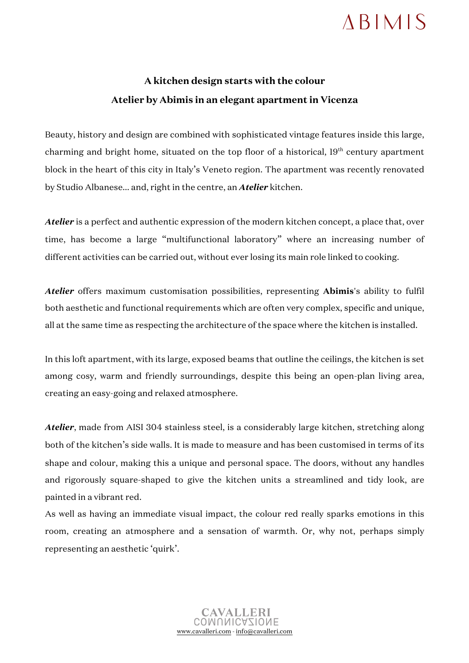## $ABIMIS$

## **A kitchen design starts with the colour Atelier by Abimis in an elegant apartment in Vicenza**

Beauty, history and design are combined with sophisticated vintage features inside this large, charming and bright home, situated on the top floor of a historical, 19<sup>th</sup> century apartment block in the heart of this city in Italy's Veneto region. The apartment was recently renovated by Studio Albanese... and, right in the centre, an *Atelier* kitchen.

*Atelier* is a perfect and authentic expression of the modern kitchen concept, a place that, over time, has become a large "multifunctional laboratory" where an increasing number of different activities can be carried out, without ever losing its main role linked to cooking.

*Atelier* offers maximum customisation possibilities, representing **Abimis**'s ability to fulfil both aesthetic and functional requirements which are often very complex, specific and unique, all at the same time as respecting the architecture of the space where the kitchen is installed.

In this loft apartment, with its large, exposed beams that outline the ceilings, the kitchen is set among cosy, warm and friendly surroundings, despite this being an open-plan living area, creating an easy-going and relaxed atmosphere.

*Atelier*, made from AISI 304 stainless steel, is a considerably large kitchen, stretching along both of the kitchen's side walls. It is made to measure and has been customised in terms of its shape and colour, making this a unique and personal space. The doors, without any handles and rigorously square-shaped to give the kitchen units a streamlined and tidy look, are painted in a vibrant red.

As well as having an immediate visual impact, the colour red really sparks emotions in this room, creating an atmosphere and a sensation of warmth. Or, why not, perhaps simply representing an aesthetic 'quirk'.